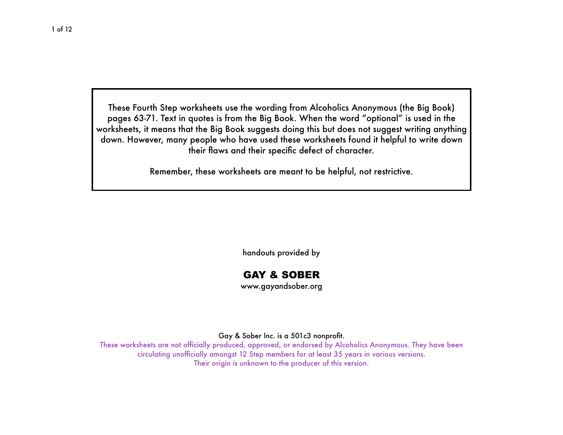These Fourth Step worksheets use the wording from Alcoholics Anonymous (the Big Book) pages 63-71. Text in quotes is from the Big Book. When the word "optional" is used in the worksheets, it means that the Big Book suggests doing this but does not suggest writing anything down. However, many people who have used these worksheets found it helpful to write down their flaws and their specific defect of character.

Remember, these worksheets are meant to be helpful, not restrictive.

handouts provided by

# GAY & SOBER

[www.gayandsober.org](http://www.gayandsober.org)

Gay & Sober Inc. is a 501c3 nonprofit.

These worksheets are not officially produced, approved, or endorsed by Alcoholics Anonymous. They have been circulating unofficially amongst 12 Step members for at least 35 years in various versions. Their origin is unknown to the producer of this version.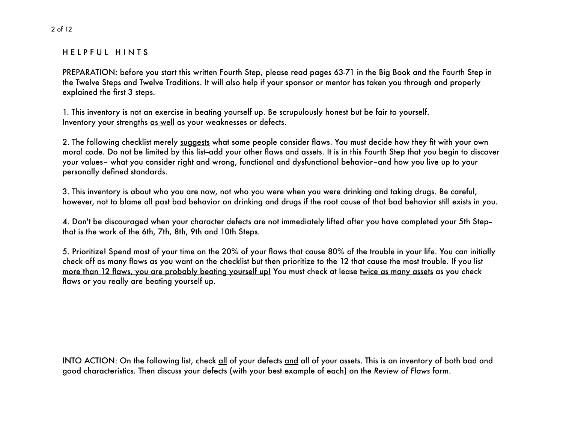### H E L P F U L H I N T S

PREPARATION: before you start this written Fourth Step, please read pages 63-71 in the Big Book and the Fourth Step in the Twelve Steps and Twelve Traditions. It will also help if your sponsor or mentor has taken you through and properly explained the first 3 steps.

1. This inventory is not an exercise in beating yourself up. Be scrupulously honest but be fair to yourself. Inventory your strengths as well as your weaknesses or defects.

2. The following checklist merely suggests what some people consider flaws. You must decide how they fit with your own moral code. Do not be limited by this list-add your other flaws and assets. It is in this Fourth Step that you begin to discover your values– what you consider right and wrong, functional and dysfunctional behavior–and how you live up to your personally defined standards.

3. This inventory is about who you are now, not who you were when you were drinking and taking drugs. Be careful, however, not to blame all past bad behavior on drinking and drugs if the root cause of that bad behavior still exists in you.

4. Don't be discouraged when your character defects are not immediately lifted after you have completed your 5th Step- that is the work of the 6th, 7th, 8th, 9th and 10th Steps.

5. Prioritize! Spend most of your time on the 20% of your flaws that cause 80% of the trouble in your life. You can initially check off as many flaws as you want on the checklist but then prioritize to the 12 that cause the most trouble. If you list more than 12 flaws, you are probably beating yourself up! You must check at lease twice as many assets as you check flaws or you really are beating yourself up.

INTO ACTION: On the following list, check all of your defects and all of your assets. This is an inventory of both bad and good characteristics. Then discuss your defects (with your best example of each) on the *Review of Flaws* form.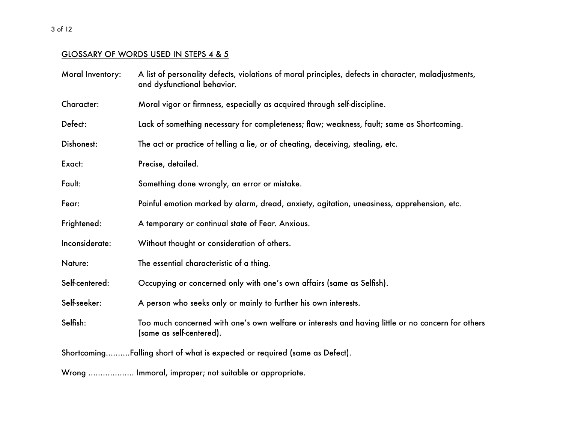# GLOSSARY OF WORDS USED IN STEPS 4 & 5

| Moral Inventory: | A list of personality defects, violations of moral principles, defects in character, maladjustments,<br>and dysfunctional behavior. |
|------------------|-------------------------------------------------------------------------------------------------------------------------------------|
| Character:       | Moral vigor or firmness, especially as acquired through self-discipline.                                                            |
| Defect:          | Lack of something necessary for completeness; flaw; weakness, fault; same as Shortcoming.                                           |
| Dishonest:       | The act or practice of telling a lie, or of cheating, deceiving, stealing, etc.                                                     |
| Exact:           | Precise, detailed.                                                                                                                  |
| Fault:           | Something done wrongly, an error or mistake.                                                                                        |
| Fear:            | Painful emotion marked by alarm, dread, anxiety, agitation, uneasiness, apprehension, etc.                                          |
| Frightened:      | A temporary or continual state of Fear. Anxious.                                                                                    |
| Inconsiderate:   | Without thought or consideration of others.                                                                                         |
| Nature:          | The essential characteristic of a thing.                                                                                            |
| Self-centered:   | Occupying or concerned only with one's own affairs (same as Selfish).                                                               |
| Self-seeker:     | A person who seeks only or mainly to further his own interests.                                                                     |
| Selfish:         | Too much concerned with one's own welfare or interests and having little or no concern for others<br>(same as self-centered).       |
|                  | ShortcomingFalling short of what is expected or required (same as Defect).                                                          |
|                  | Wrong  Immoral, improper; not suitable or appropriate.                                                                              |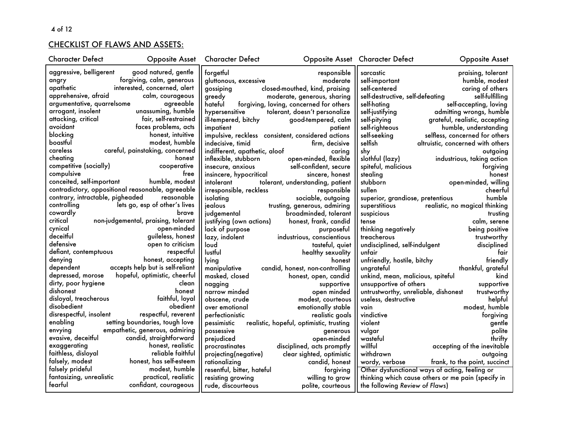# CHECKLIST OF FLAWS AND ASSETS:

| <b>Character Defect</b>                           | <b>Opposite Asset</b>               | Character Defect              |                                                    | <b>Opposite Asset</b> Character Defect | <b>Opposite Asset</b>                              |
|---------------------------------------------------|-------------------------------------|-------------------------------|----------------------------------------------------|----------------------------------------|----------------------------------------------------|
| aggressive, belligerent                           | good natured, gentle                | forgetful                     | responsible                                        | sarcastic                              | praising, tolerant                                 |
| angry                                             | forgiving, calm, generous           | gluttonous, excessive         | moderate                                           | self-important                         | humble, modest                                     |
| apathetic                                         | interested, concerned, alert        | gossiping                     | closed-mouthed, kind, praising                     | self-centered                          | caring of others                                   |
| apprehensive, afraid                              | calm, courageous                    | greedy                        | moderate, generous, sharing                        | self-destructive, self-defeating       | self-fulfilling                                    |
| argumentative, quarrelsome                        | agreeable                           | hateful                       | forgiving, loving, concerned for others            | self-hating                            | self-accepting, loving                             |
| arrogant, insolent                                | unassuming, humble                  | hypersensitive                | tolerant, doesn't personalize                      | self-justifying                        | admitting wrongs, humble                           |
| attacking, critical                               | fair, self-restrained               | ill-tempered, bitchy          | good-tempered, calm                                | self-pitying                           | grateful, realistic, accepting                     |
| avoidant                                          | faces problems, acts                | impatient                     | patient                                            | self-righteous                         | humble, understanding                              |
| blocking                                          | honest, intuitive                   |                               | impulsive, reckless consistent, considered actions | self-seeking                           | selfless, concerned for others                     |
| boastful                                          | modest, humble                      | indecisive, timid             | firm, decisive                                     | selfish                                | altruistic, concerned with others                  |
| careless                                          | careful, painstaking, concerned     | indifferent, apathetic, aloof | caring                                             | shy                                    | outgoing                                           |
| cheating                                          | honest                              | inflexible, stubborn          | open-minded, flexible                              | slothful (lazy)                        | industrious, taking action                         |
| competitive (socially)                            | cooperative                         | insecure, anxious             | self-confident, secure                             | spiteful, malicious                    | forgiving                                          |
| compulsive                                        | free                                | insincere, hypocritical       | sincere, honest                                    | stealing                               | honest                                             |
| conceited, self-important                         | humble, modest                      | intolerant                    | tolerant, understanding, patient                   | stubborn                               | open-minded, willing                               |
| contradictory, oppositional reasonable, agreeable |                                     | irresponsible, reckless       | responsible                                        | sullen                                 | cheerful                                           |
| contrary, intractable, pigheaded                  | reasonable                          | isolating                     | sociable, outgoing                                 | superior, grandiose, pretentious       | humble                                             |
| controlling                                       | lets go, esp of other's lives       | jealous                       | trusting, generous, admiring                       | superstitious                          | realistic, no magical thinking                     |
| cowardly                                          | brave                               | judgemental                   | broadminded, tolerant                              | suspicious                             | trusting                                           |
| critical                                          | non-judgemental, praising, tolerant | justifying (own actions)      | honest, frank, candid                              | tense                                  | calm, serene                                       |
| cynical                                           | open-minded                         | lack of purpose               | purposeful                                         | thinking negatively                    | being positive                                     |
| deceitful                                         | guileless, honest                   | lazy, indolent                | industrious, conscientious                         | treacherous                            | trustworthy                                        |
| defensive                                         | open to criticism                   | loud                          | tasteful, quiet                                    | undisciplined, self-indulgent          | disciplined                                        |
| defiant, contemptuous                             | respectful                          | lustful                       | healthy sexuality                                  | unfair                                 | fair                                               |
| denying                                           | honest, accepting                   | lying                         | honest                                             | unfriendly, hostile, bitchy            | friendly                                           |
| dependent                                         | accepts help but is self-reliant    | manipulative                  | candid, honest, non-controlling                    | ungrateful                             | thankful, grateful                                 |
| depressed, morose                                 | hopeful, optimistic, cheerful       | masked, closed                | honest, open, candid                               | unkind, mean, malicious, spiteful      | kind                                               |
| dirty, poor hygiene                               | clean                               | nagging                       | supportive                                         | unsupportive of others                 | supportive                                         |
| dishonest                                         | honest                              | narrow minded                 | open minded                                        | untrustworthy, unreliable, dishonest   | trustworthy                                        |
| disloyal, treacherous                             | faithful, loyal                     | obscene, crude                | modest, courteous                                  | useless, destructive                   | helpful                                            |
| disobedient                                       | obedient                            | over emotional                | emotionally stable                                 | vain                                   | modest, humble                                     |
| disrespectful, insolent                           | respectful, reverent                | perfectionistic               | realistic goals                                    | vindictive                             | forgiving                                          |
| enabling                                          | setting boundaries, tough love      | pessimistic                   | realistic, hopeful, optimistic, trusting           | violent                                | gentle                                             |
| envying                                           | empathetic, generous, admiring      | possessive                    | generous                                           | vulgar                                 | polite                                             |
| evasive, deceitful                                | candid, straightforward             | prejudiced                    | open-minded                                        | wasteful                               | thrifty                                            |
| exaggerating                                      | honest, realistic                   | procrastinates                | disciplined, acts promptly                         | willful                                | accepting of the inevitable                        |
| faithless, disloyal                               | reliable faithful                   | projecting(negative)          | clear sighted, optimistic                          | withdrawn                              | outgoing                                           |
| falsely, modest                                   | honest, has self-esteem             | rationalizing                 | candid, honest                                     | wordy, verbose                         | frank, to the point, succinct                      |
| falsely prideful                                  | modest, humble                      | resentful, bitter, hateful    | forgiving                                          |                                        | Other dysfunctional ways of acting, feeling or     |
| fantasizing, unrealistic                          | practical, realistic                | resisting growing             | willing to grow                                    |                                        | thinking which cause others or me pain (specify in |
| fearful                                           | confidant, courageous               | rude, discourteous            | polite, courteous                                  | the following Review of Flaws)         |                                                    |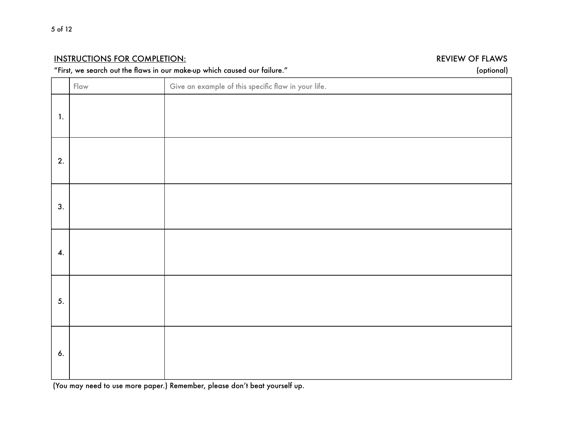# INSTRUCTIONS FOR COMPLETION: *INSTRUCTIONS FOR COMPLETION: REVIEW OF FLAWS*

# "First, we search out the flaws in our make-up which caused our failure." (optional)

|                    | $Flaw$ | Give an example of this specific flaw in your life. |
|--------------------|--------|-----------------------------------------------------|
| $\mathbf{1}$ .     |        |                                                     |
| 2.                 |        |                                                     |
| 3.                 |        |                                                     |
| $\boldsymbol{4}$ . |        |                                                     |
| 5.                 |        |                                                     |
| 6.                 |        |                                                     |

(You may need to use more paper.) Remember, please don't beat yourself up.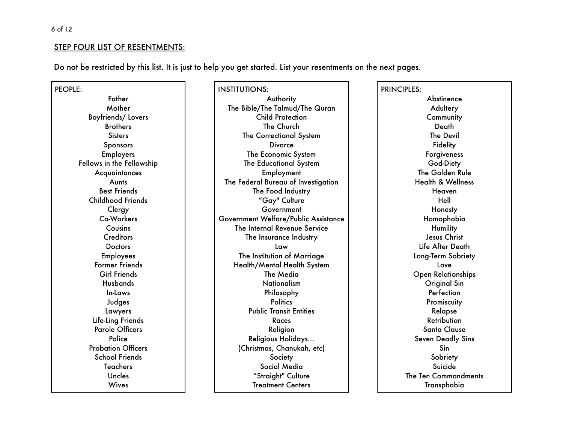## STEP FOUR LIST OF RESENTMENTS:

Do not be restricted by this list. It is just to help you get started. List your resentments on the next pages.

PEOPLE: Father Mother Boyfriends/ Lovers **Brothers Sisters Sponsors** Employers Fellows in the Fellowship **Acquaintances** Aunts Best Friends Childhood Friends **Clergy** Co-Workers Cousins **Creditors Doctors** Employees Former Friends Girl Friends Husbands In-Laws Judges Lawyers Life-Ling Friends Parole Officers **Police** Probation Officers School Friends Teachers Uncles **Wives** 

INSTITUTIONS: Authority The Bible/The Talmud/The Quran Child Protection The Church The Correctional System **Divorce** The Economic System The Educational System Employment The Federal Bureau of Investigation The Food Industry "Gay" Culture Government Government Welfare/Public Assistance The Internal Revenue Service The Insurance Industry Law The Institution of Marriage Health/Mental Health System The Media Nationalism Philosophy **Politics** Public Transit Entities Races Religion Religious Holidays… (Christmas, Chanukah, etc) Society Social Media "Straight" Culture Treatment Centers

PRINCIPLES: **Abstinence Adultery Community** Death The Devil **Fidelity Forgiveness** God-Diety The Golden Rule Health & Wellness Heaven Hell Honesty Homophobia **Humility** Jesus Christ Life After Death Long-Term Sobriety Love Open Relationships Original Sin **Perfection Promiscuity** Relapse Retribution Santa Clause Seven Deadly Sins Sin **Sobriety** Suicide The Ten Commandments Transphobia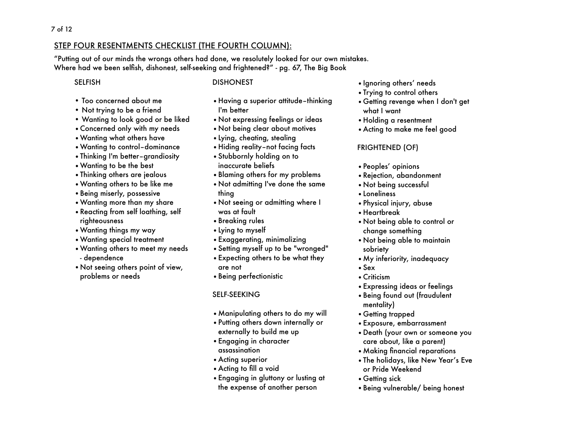# STEP FOUR RESENTMENTS CHECKLIST (THE FOURTH COLUMN):

"Putting out of our minds the wrongs others had done, we resolutely looked for our own mistakes. Where had we been selfish, dishonest, self-seeking and frightened?" - pg. 67, The Big Book

# SELFISH

#### DISHONEST

- Too concerned about me
- Not trying to be a friend
- Wanting to look good or be liked
- •Concerned only with my needs
- •Wanting what others have
- •Wanting to control–dominance
- •Thinking I'm better–grandiosity
- •Wanting to be the best
- •Thinking others are jealous
- •Wanting others to be like me
- •Being miserly, possessive
- •Wanting more than my share
- •Reacting from self loathing, self righteousness
- •Wanting things my way
- •Wanting special treatment
- •Wanting others to meet my needs - dependence
- •Not seeing others point of view, problems or needs
- •Having a superior attitude–thinking I'm better
- •Not expressing feelings or ideas
- •Not being clear about motives
- •Lying, cheating, stealing
- •Hiding reality–not facing facts
- •Stubbornly holding on to inaccurate beliefs
- •Blaming others for my problems
- •Not admitting I've done the same thing
- •Not seeing or admitting where I was at fault
- •Breaking rules
- •Lying to myself
- •Exaggerating, minimalizing
- •Setting myself up to be "wronged"
- •Expecting others to be what they are not
- •Being perfectionistic

# SELF-SEEKING

- •Manipulating others to do my will
- •Putting others down internally or externally to build me up
- •Engaging in character assassination
- •Acting superior
- •Acting to fill a void
- •Engaging in gluttony or lusting at the expense of another person
- •Ignoring others' needs
- •Trying to control others
- •Getting revenge when I don't get what I want
- •Holding a resentment
- •Acting to make me feel good

# FRIGHTENED (OF)

- •Peoples' opinions
- •Rejection, abandonment
- •Not being successful
- •Loneliness
- •Physical injury, abuse
- •Heartbreak
- •Not being able to control or change something
- •Not being able to maintain sobriety
- •My inferiority, inadequacy
- •Sex
- •Criticism
- •Expressing ideas or feelings
- •Being found out (fraudulent mentality)
- •Getting trapped
- •Exposure, embarrassment
- •Death (your own or someone you care about, like a parent)
- •Making financial reparations
- •The holidays, like New Year's Eve or Pride Weekend
- •Getting sick
- •Being vulnerable/ being honest

# 7 of 12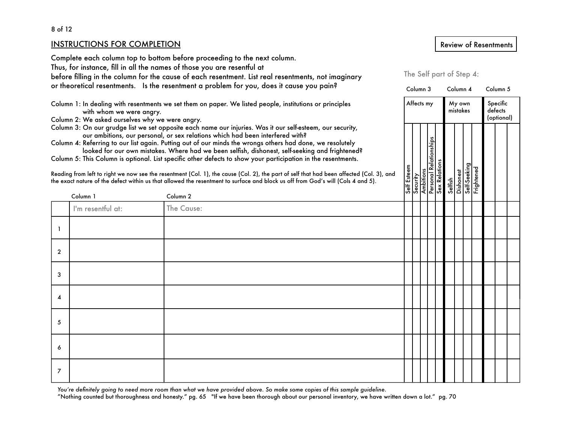#### 8 of 12

#### INSTRUCTIONS FOR COMPLETION

Complete each column top to bottom before proceeding to the next column.

Thus, for instance, fill in all the names of those you are resentful at

before filling in the column for the cause of each resentment. List real resentments, not imaginary

or theoretical resentments. Is the resentment a problem for you, does it cause you pain?

Column 1: In dealing with resentments we set them on paper. We listed people, institutions or principles with whom we were angry.

Column 2: We asked ourselves why we were angry.

Column 3: On our grudge list we set opposite each name our injuries. Was it our self-esteem, our security, our ambitions, our personal, or sex relations which had been interfered with?

| Reading from left to right we now see the resentment (Col. 1), the cause (Col. 2), the part of self that had been affected (Col. 3), and |  |
|------------------------------------------------------------------------------------------------------------------------------------------|--|
| the exact nature of the defect within us that allowed the resentment to surface and block us off from God's will (Cols 4 and 5).         |  |

|              | Column 1          | our ambilions, our personal, or sex relations which had been interfered with?<br>Column 4: Referring to our list again. Putting out of our minds the wrongs others had done, we resolutely<br>looked for our own mistakes. Where had we been selfish, dishonest, self-seeking and frightened?<br>Column 5: This Column is optional. List specific other defects to show your participation in the resentments.<br>Reading from left to right we now see the resentment (Col. 1), the cause (Col. 2), the part of self that had been affected (Col. 3), and<br>the exact nature of the defect within us that allowed the resentment to surface and block us off from God's will (Cols 4 and 5).<br>Column <sub>2</sub> |  |  | Self Esteem<br>Security<br>Ambitions<br>Personal Relations<br>Self.Secking<br>Self.Secking<br>Self.Secking<br>Frightened |  |  |  |
|--------------|-------------------|-----------------------------------------------------------------------------------------------------------------------------------------------------------------------------------------------------------------------------------------------------------------------------------------------------------------------------------------------------------------------------------------------------------------------------------------------------------------------------------------------------------------------------------------------------------------------------------------------------------------------------------------------------------------------------------------------------------------------|--|--|--------------------------------------------------------------------------------------------------------------------------|--|--|--|
|              | I'm resentful at: | The Cause:                                                                                                                                                                                                                                                                                                                                                                                                                                                                                                                                                                                                                                                                                                            |  |  |                                                                                                                          |  |  |  |
|              |                   |                                                                                                                                                                                                                                                                                                                                                                                                                                                                                                                                                                                                                                                                                                                       |  |  |                                                                                                                          |  |  |  |
| $\mathbf{2}$ |                   |                                                                                                                                                                                                                                                                                                                                                                                                                                                                                                                                                                                                                                                                                                                       |  |  |                                                                                                                          |  |  |  |
| 3            |                   |                                                                                                                                                                                                                                                                                                                                                                                                                                                                                                                                                                                                                                                                                                                       |  |  |                                                                                                                          |  |  |  |
| 4            |                   |                                                                                                                                                                                                                                                                                                                                                                                                                                                                                                                                                                                                                                                                                                                       |  |  |                                                                                                                          |  |  |  |
| 5            |                   |                                                                                                                                                                                                                                                                                                                                                                                                                                                                                                                                                                                                                                                                                                                       |  |  |                                                                                                                          |  |  |  |
| 6            |                   |                                                                                                                                                                                                                                                                                                                                                                                                                                                                                                                                                                                                                                                                                                                       |  |  |                                                                                                                          |  |  |  |
| 7            |                   |                                                                                                                                                                                                                                                                                                                                                                                                                                                                                                                                                                                                                                                                                                                       |  |  |                                                                                                                          |  |  |  |

You're definitely going to need more room than what we have provided above. So make some copies of this sample guideline.

"Nothing counted but thoroughness and honesty." pg. 65 "If we have been thorough about our personal inventory, we have written down a lot." pg. 70

# Review of Resentments

The Self part of Step 4:

Affects my My own Specific<br>mistakes defects mistakes

Column 3 Column 4 Column 5

(optional)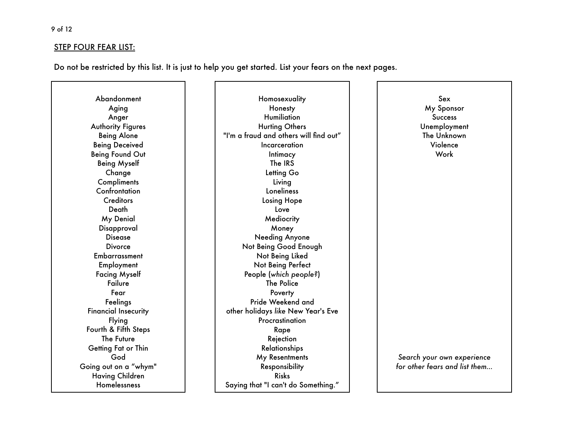### STEP FOUR FEAR LIST:

Do not be restricted by this list. It is just to help you get started. List your fears on the next pages.

Abandonment Aging Anger Authority Figures Being Alone Being Deceived Being Found Out Being Myself Change **Compliments Confrontation Creditors** Death My Denial Disapproval Disease **Divorce Embarrassment** Employment Facing Myself Failure Fear Feelings Financial Insecurity Flying Fourth & Fifth Steps The Future Getting Fat or Thin God Going out on a "whym" Having Children Homelessness

**Homosexuality** Honesty Humiliation Hurting Others "I'm a fraud and others will find out" **Incarceration Intimacy** The IRS Letting Go Living Loneliness Losing Hope Love **Mediocrity** Money Needing Anyone Not Being Good Enough Not Being Liked Not Being Perfect People (*which people?*) The Police **Poverty** Pride Weekend and other holidays *like* New Year's Eve **Procrastination** Rape Rejection Relationships My Resentments Responsibility Risks Saying that "I can't do Something."

Sex My Sponsor **Success** Unemployment The Unknown Violence Work

*Search your own experience for other fears and list them…*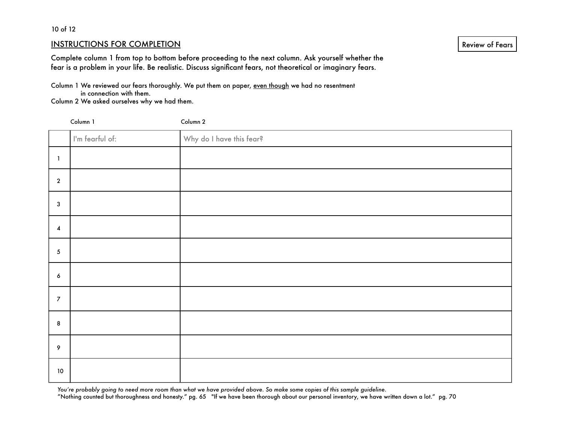#### 10 of 12

#### INSTRUCTIONS FOR COMPLETION

Complete column 1 from top to bottom before proceeding to the next column. Ask yourself whether the fear is a problem in your life. Be realistic. Discuss significant fears, not theoretical or imaginary fears.

Column 1 We reviewed our fears thoroughly. We put them on paper, even though we had no resentment in connection with them.

Column 2 We asked ourselves why we had them.

| Column 1                |                 | Column 2                 |
|-------------------------|-----------------|--------------------------|
|                         | I'm fearful of: | Why do I have this fear? |
| $\mathbf{1}$            |                 |                          |
| $\overline{2}$          |                 |                          |
| $\mathbf{3}$            |                 |                          |
| $\overline{\mathbf{4}}$ |                 |                          |
| $\sqrt{5}$              |                 |                          |
| $\boldsymbol{6}$        |                 |                          |
| $\overline{7}$          |                 |                          |
| $\bf{8}$                |                 |                          |
| 9                       |                 |                          |
| 10 <sub>o</sub>         |                 |                          |

*You're probably going to need more room than what we have provided above. So make some copies of this sample guideline.* 

"Nothing counted but thoroughness and honesty." pg. 65 "If we have been thorough about our personal inventory, we have written down a lot." pg. 70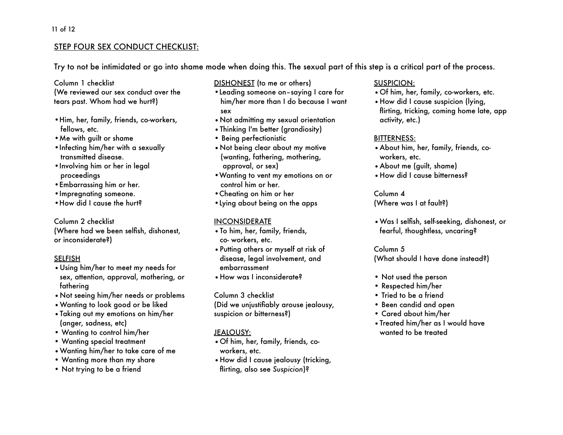# STEP FOUR SEX CONDUCT CHECKLIST:

Try to not be intimidated or go into shame mode when doing this. The sexual part of this step is a critical part of the process.

Column 1 checklist

(We reviewed our sex conduct over the tears past. Whom had we hurt?)

- •Him, her, family, friends, co-workers, fellows, etc.
- •Me with guilt or shame
- •Infecting him/her with a sexually transmitted disease.
- •Involving him or her in legal proceedings
- •Embarrassing him or her.
- •Impregnating someone.
- •How did I cause the hurt?

Column 2 checklist (Where had we been selfish, dishonest, or inconsiderate?)

#### SELFISH

- •Using him/her to meet my needs for sex, attention, approval, mothering, or fathering
- •Not seeing him/her needs or problems
- •Wanting to look good or be liked
- •Taking out my emotions on him/her (anger, sadness, etc)
- Wanting to control him/her
- Wanting special treatment
- •Wanting him/her to take care of me
- Wanting more than my share
- Not trying to be a friend

DISHONEST (to me or others)

- •Leading someone on–saying I care for him/her more than I do because I want sex
- •Not admitting my sexual orientation
- •Thinking I'm better (grandiosity)
- Being perfectionistic
- •Not being clear about my motive (wanting, fathering, mothering, approval, or sex)
- •Wanting to vent my emotions on or control him or her.
- •Cheating on him or her
- •Lying about being on the apps

#### INCONSIDERATE

- •To him, her, family, friends, co- workers, etc.
- •Putting others or myself at risk of disease, legal involvement, and embarrassment
- •How was I inconsiderate?

#### Column 3 checklist

(Did we unjustifiably arouse jealousy, suspicion or bitterness?)

# JEALOUSY:

- •Of him, her, family, friends, coworkers, etc.
- •How did I cause jealousy (tricking, flirting, also see *Suspicion*)?

# SUSPICION:

- •Of him, her, family, co-workers, etc.
- •How did I cause suspicion (lying, flirting, tricking, coming home late, app activity, etc.)

# BITTERNESS:

- •About him, her, family, friends, coworkers, etc.
- •About me (guilt, shame)
- •How did I cause bitterness?

# Column 4

(Where was I at fault?)

•Was I selfish, self-seeking, dishonest, or fearful, thoughtless, uncaring?

#### Column 5 (What should I have done instead?)

- Not used the person
- Respected him/her
- Tried to be a friend
- Been candid and open
- Cared about him/her
- •Treated him/her as I would have wanted to be treated